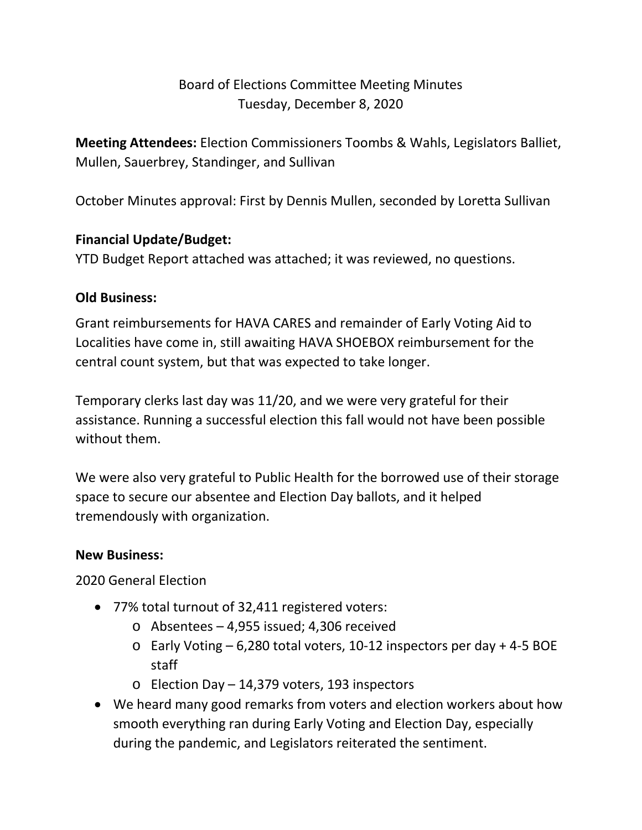# Board of Elections Committee Meeting Minutes Tuesday, December 8, 2020

**Meeting Attendees:** Election Commissioners Toombs & Wahls, Legislators Balliet, Mullen, Sauerbrey, Standinger, and Sullivan

October Minutes approval: First by Dennis Mullen, seconded by Loretta Sullivan

## **Financial Update/Budget:**

YTD Budget Report attached was attached; it was reviewed, no questions.

## **Old Business:**

Grant reimbursements for HAVA CARES and remainder of Early Voting Aid to Localities have come in, still awaiting HAVA SHOEBOX reimbursement for the central count system, but that was expected to take longer.

Temporary clerks last day was 11/20, and we were very grateful for their assistance. Running a successful election this fall would not have been possible without them.

We were also very grateful to Public Health for the borrowed use of their storage space to secure our absentee and Election Day ballots, and it helped tremendously with organization.

### **New Business:**

2020 General Election

- 77% total turnout of 32,411 registered voters:
	- $\circ$  Absentees 4,955 issued; 4,306 received
	- o Early Voting 6,280 total voters, 10-12 inspectors per day + 4-5 BOE staff
	- o Election Day 14,379 voters, 193 inspectors
- We heard many good remarks from voters and election workers about how smooth everything ran during Early Voting and Election Day, especially during the pandemic, and Legislators reiterated the sentiment.